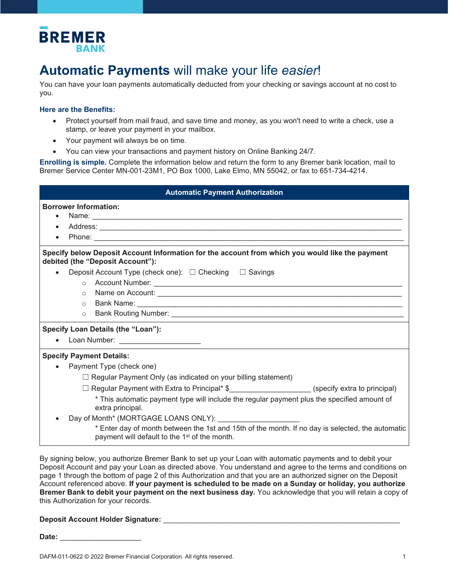

## **Automatic Payments** will make your life *easier*!

You can have your loan payments automatically deducted from your checking or savings account at no cost to you.

## **Here are the Benefits:**

- Protect yourself from mail fraud, and save time and money, as you won't need to write a check, use a stamp, or leave your payment in your mailbox.
- Your payment will always be on time.
- You can view your transactions and payment history on Online Banking 24/7.

**Enrolling is simple.** Complete the information below and return the form to any Bremer bank location, mail to Bremer Service Center MN-001-23M1, PO Box 1000, Lake Elmo, MN 55042, or fax to 651-734-4214.

| <b>Automatic Payment Authorization</b>                                                                                                                        |
|---------------------------------------------------------------------------------------------------------------------------------------------------------------|
| <b>Borrower Information:</b>                                                                                                                                  |
| $\bullet$                                                                                                                                                     |
| $\bullet$                                                                                                                                                     |
|                                                                                                                                                               |
| Specify below Deposit Account Information for the account from which you would like the payment<br>debited (the "Deposit Account"):                           |
| Deposit Account Type (check one): □ Checking □ Savings                                                                                                        |
|                                                                                                                                                               |
|                                                                                                                                                               |
| $\circ$                                                                                                                                                       |
| $\circ$                                                                                                                                                       |
| Specify Loan Details (the "Loan"):                                                                                                                            |
| Loan Number: ________________________                                                                                                                         |
| <b>Specify Payment Details:</b>                                                                                                                               |
| Payment Type (check one)<br>$\bullet$                                                                                                                         |
| $\Box$ Regular Payment Only (as indicated on your billing statement)                                                                                          |
| □ Regular Payment with Extra to Principal* \$_____________________(specify extra to principal)                                                                |
| * This automatic payment type will include the regular payment plus the specified amount of<br>extra principal.                                               |
|                                                                                                                                                               |
| * Enter day of month between the 1st and 15th of the month. If no day is selected, the automatic<br>payment will default to the 1 <sup>st</sup> of the month. |

By signing below, you authorize Bremer Bank to set up your Loan with automatic payments and to debit your Deposit Account and pay your Loan as directed above. You understand and agree to the terms and conditions on page 1 through the bottom of page 2 of this Authorization and that you are an authorized signer on the Deposit Account referenced above. **If your payment is scheduled to be made on a Sunday or holiday, you authorize Bremer Bank to debit your payment on the next business day.** You acknowledge that you will retain a copy of this Authorization for your records.

**Deposit Account Holder Signature:** \_\_\_\_\_\_\_\_\_\_\_\_\_\_\_\_\_\_\_\_\_\_\_\_\_\_\_\_\_\_\_\_\_\_\_\_\_\_\_\_\_\_\_\_\_\_\_\_\_\_\_\_\_\_\_\_\_\_

Date: